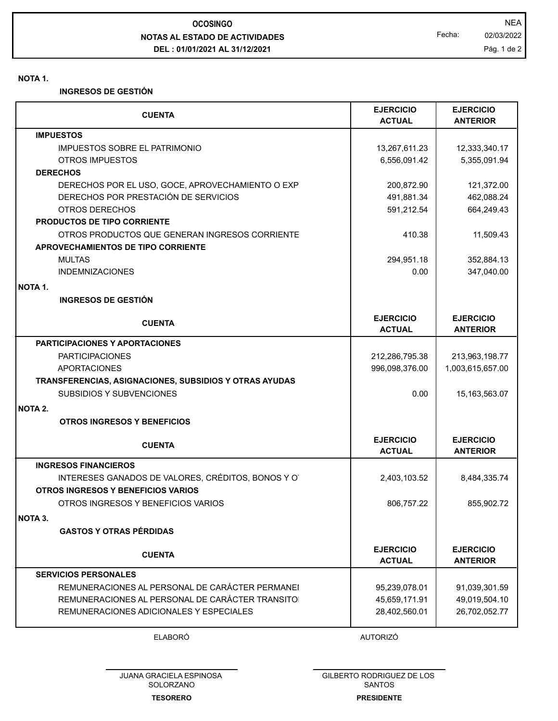**NOTAS AL ESTADO DE ACTIVIDADES DEL : 01/01/2021 AL 31/12/2021 OCOSINGO** NEA

**NOTA 1.**

**INGRESOS DE GESTIÓN**

| <b>CUENTA</b>                                          | <b>EJERCICIO</b><br><b>ACTUAL</b> | <b>EJERCICIO</b><br><b>ANTERIOR</b> |
|--------------------------------------------------------|-----------------------------------|-------------------------------------|
| <b>IMPUESTOS</b>                                       |                                   |                                     |
| <b>IMPUESTOS SOBRE EL PATRIMONIO</b>                   | 13,267,611.23                     | 12,333,340.17                       |
| <b>OTROS IMPUESTOS</b>                                 | 6,556,091.42                      | 5,355,091.94                        |
| <b>DERECHOS</b>                                        |                                   |                                     |
| DERECHOS POR EL USO, GOCE, APROVECHAMIENTO O EXP       | 200,872.90                        | 121,372.00                          |
| DERECHOS POR PRESTACIÓN DE SERVICIOS                   | 491,881.34                        | 462,088.24                          |
| OTROS DERECHOS                                         | 591,212.54                        | 664,249.43                          |
| <b>PRODUCTOS DE TIPO CORRIENTE</b>                     |                                   |                                     |
| OTROS PRODUCTOS QUE GENERAN INGRESOS CORRIENTE         | 410.38                            | 11,509.43                           |
| APROVECHAMIENTOS DE TIPO CORRIENTE                     |                                   |                                     |
| <b>MULTAS</b>                                          | 294,951.18                        | 352,884.13                          |
| <b>INDEMNIZACIONES</b>                                 | 0.00                              | 347,040.00                          |
| NOTA 1.                                                |                                   |                                     |
| <b>INGRESOS DE GESTIÓN</b>                             |                                   |                                     |
|                                                        | <b>EJERCICIO</b>                  | <b>EJERCICIO</b>                    |
| <b>CUENTA</b>                                          | <b>ACTUAL</b>                     | <b>ANTERIOR</b>                     |
| <b>PARTICIPACIONES Y APORTACIONES</b>                  |                                   |                                     |
| <b>PARTICIPACIONES</b>                                 | 212,286,795.38                    | 213,963,198.77                      |
| <b>APORTACIONES</b>                                    | 996,098,376.00                    | 1,003,615,657.00                    |
| TRANSFERENCIAS, ASIGNACIONES, SUBSIDIOS Y OTRAS AYUDAS |                                   |                                     |
| SUBSIDIOS Y SUBVENCIONES                               | 0.00                              | 15, 163, 563. 07                    |
| NOTA 2.                                                |                                   |                                     |
| <b>OTROS INGRESOS Y BENEFICIOS</b>                     |                                   |                                     |
| <b>CUENTA</b>                                          | <b>EJERCICIO</b><br><b>ACTUAL</b> | <b>EJERCICIO</b><br><b>ANTERIOR</b> |
| <b>INGRESOS FINANCIEROS</b>                            |                                   |                                     |
| INTERESES GANADOS DE VALORES, CRÉDITOS, BONOS Y O      | 2,403,103.52                      | 8,484,335.74                        |
| OTROS INGRESOS Y BENEFICIOS VARIOS                     |                                   |                                     |
| OTROS INGRESOS Y BENEFICIOS VARIOS                     | 806,757.22                        | 855,902.72                          |
| <b>NOTA 3.</b>                                         |                                   |                                     |
| <b>GASTOS Y OTRAS PÉRDIDAS</b>                         |                                   |                                     |
|                                                        |                                   |                                     |
| <b>CUENTA</b>                                          | <b>EJERCICIO</b><br><b>ACTUAL</b> | <b>EJERCICIO</b><br><b>ANTERIOR</b> |
| <b>SERVICIOS PERSONALES</b>                            |                                   |                                     |
| REMUNERACIONES AL PERSONAL DE CARÁCTER PERMANEI        | 95,239,078.01                     | 91,039,301.59                       |
| REMUNERACIONES AL PERSONAL DE CARÁCTER TRANSITO        | 45,659,171.91                     | 49,019,504.10                       |
| REMUNERACIONES ADICIONALES Y ESPECIALES                | 28,402,560.01                     | 26,702,052.77                       |
|                                                        |                                   |                                     |

ELABORÓ AUTORIZÓ

**TESORERO** JUANA GRACIELA ESPINOSA SOLORZANO

GILBERTO RODRIGUEZ DE LOS SANTOS **PRESIDENTE**